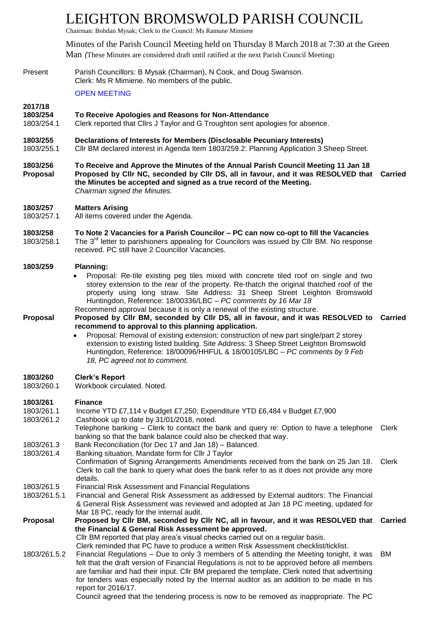# LEIGHTON BROMSWOLD PARISH COUNCIL

Chairman: Bohdan Mysak; Clerk to the Council: Ms Ramune Mimiene

Minutes of the Parish Council Meeting held on Thursday 8 March 2018 at 7:30 at the Green Man *(*These Minutes are considered draft until ratified at the next Parish Council Meeting)

Present Parish Councillors: B Mysak (Chairman), N Cook, and Doug Swanson. Clerk: Ms R Mimiene. No members of the public.

OPEN MEETING

#### **2017/18**

#### **1803/254 To Receive Apologies and Reasons for Non-Attendance**

- 1803/254.1 Clerk reported that Cllrs J Taylor and G Troughton sent apologies for absence.
- **1803/255 Declarations of Interests for Members (Disclosable Pecuniary Interests)**
- 1803/255.1 Cllr BM declared interest in Agenda Item 1803/259.2: Planning Application 3 Sheep Street.
- **1803/256 To Receive and Approve the Minutes of the Annual Parish Council Meeting 11 Jan 18 Proposal Proposed by Cllr NC, seconded by Cllr DS, all in favour, and it was RESOLVED that Carried the Minutes be accepted and signed as a true record of the Meeting.** *Chairman signed the Minutes.*

#### **1803/257 Matters Arising**

1803/257.1 All items covered under the Agenda.

# **1803/258 To Note 2 Vacancies for a Parish Councilor – PC can now co-opt to fill the Vacancies**

1803/258.1 The  $3<sup>rd</sup>$  letter to parishioners appealing for Councilors was issued by ClIr BM. No response received. PC still have 2 Councillor Vacancies.

#### **1803/259 Planning:**

- Proposal: Re-tile existing peg tiles mixed with concrete tiled roof on single and two storey extension to the rear of the property. Re-thatch the original thatched roof of the property using long straw. Site Address: 31 Sheep Street Leighton Bromswold Huntingdon, Reference: 18/00336/LBC *– PC comments by 16 Mar 18*
- Recommend approval because it is only a renewal of the existing structure.
- **Proposal Proposed by Cllr BM, seconded by Cllr DS, all in favour, and it was RESOLVED to Carried recommend to approval to this planning application.**
	- Proposal: Removal of existing extension: construction of new part single/part 2 storey extension to existing listed building. Site Address: 3 Sheep Street Leighton Bromswold Huntingdon, Reference: 18/00096/HHFUL & 18/00105/LBC – *PC comments by 9 Feb 18, PC agreed not to comment.*

# **1803/260 Clerk's Report**

1803/260.1 Workbook circulated. Noted.

| 1803/261     | <b>Finance</b>                                                                                                                                                                                                                                                                                                                                                                                                 |       |
|--------------|----------------------------------------------------------------------------------------------------------------------------------------------------------------------------------------------------------------------------------------------------------------------------------------------------------------------------------------------------------------------------------------------------------------|-------|
| 1803/261.1   | Income YTD £7,114 v Budget £7,250; Expenditure YTD £6,484 v Budget £7,900                                                                                                                                                                                                                                                                                                                                      |       |
| 1803/261.2   | Cashbook up to date by 31/01/2018, noted.                                                                                                                                                                                                                                                                                                                                                                      |       |
|              | Telephone banking – Clerk to contact the bank and query re: Option to have a telephone<br>banking so that the bank balance could also be checked that way.                                                                                                                                                                                                                                                     | Clerk |
| 1803/261.3   | Bank Reconciliation (for Dec 17 and Jan 18) - Balanced.                                                                                                                                                                                                                                                                                                                                                        |       |
| 1803/261.4   | Banking situation, Mandate form for Cllr J Taylor                                                                                                                                                                                                                                                                                                                                                              |       |
|              | Confirmation of Signing Arrangements Amendments received from the bank on 25 Jan 18. Clerk<br>Clerk to call the bank to query what does the bank refer to as it does not provide any more<br>details.                                                                                                                                                                                                          |       |
| 1803/261.5   | <b>Financial Risk Assessment and Financial Regulations</b>                                                                                                                                                                                                                                                                                                                                                     |       |
| 1803/261.5.1 | Financial and General Risk Assessment as addressed by External auditors: The Financial<br>& General Risk Assessment was reviewed and adopted at Jan 18 PC meeting, updated for<br>Mar 18 PC, ready for the internal audit.                                                                                                                                                                                     |       |
| Proposal     | Proposed by Cllr BM, seconded by Cllr NC, all in favour, and it was RESOLVED that Carried                                                                                                                                                                                                                                                                                                                      |       |
|              | the Financial & General Risk Assessment be approved.                                                                                                                                                                                                                                                                                                                                                           |       |
|              | CIIr BM reported that play area's visual checks carried out on a regular basis.                                                                                                                                                                                                                                                                                                                                |       |
|              | Clerk reminded that PC have to produce a written Risk Assessment checklist/ticklist.                                                                                                                                                                                                                                                                                                                           |       |
| 1803/261.5.2 | Financial Regulations – Due to only 3 members of 5 attending the Meeting tonight, it was<br>felt that the draft version of Financial Regulations is not to be approved before all members<br>are familiar and had their input. Cllr BM prepared the template. Clerk noted that advertising<br>for tenders was especially noted by the Internal auditor as an addition to be made in his<br>report for 2016/17. | BM    |
|              | Council agreed that the tendering process is now to be removed as inappropriate. The PC                                                                                                                                                                                                                                                                                                                        |       |
|              |                                                                                                                                                                                                                                                                                                                                                                                                                |       |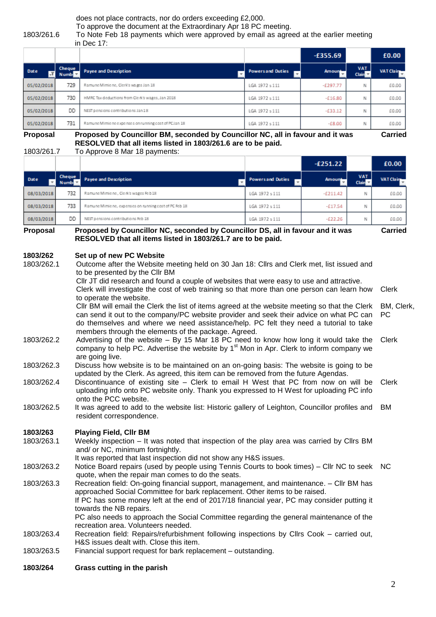does not place contracts, nor do orders exceeding £2,000.

To approve the document at the Extraordinary Apr 18 PC meeting.

#### 1803/261.6 To Note Feb 18 payments which were approved by email as agreed at the earlier meeting in Dec 17:

|            |                       |                                                      |                          | $-£355.69$               |                                    | £0.00            |
|------------|-----------------------|------------------------------------------------------|--------------------------|--------------------------|------------------------------------|------------------|
| Date       | Cheque<br><b>Numb</b> | <b>Payee and Description</b>                         | <b>Powers and Duties</b> | Amount-<br>$\mathcal{F}$ | <b>VAT</b><br>Clain $\overline{ }$ | <b>VAT Claim</b> |
| 05/02/2018 | 729                   | Ramune Mimie ne, Clerk's wages Jan 18                | LGA 1972 s 111           | $-£297.77$               | N                                  | £0.00            |
| 05/02/2018 | 730                   | HMRC Tax deductions from Clerk's wages, Jan 2018     | LGA 1972 s 111           | $-£16.80$                | N                                  | £0.00            |
| 05/02/2018 | DD                    | NEST pensions contributions Jan 18                   | LGA 1972 s 111           | $-£33.12$                | N                                  | £0.00            |
| 05/02/2018 | 731                   | Ramune Mimie ne expenses on running cost of PCJan 18 | LGA 1972 s 111           | $-£8.00$                 | Ν                                  | £0.00            |

**Proposal Proposed by Councillor BM, seconded by Councillor NC, all in favour and it was RESOLVED that all items listed in 1803/261.6 are to be paid.**

**Carried**

1803/261.7 To Approve 8 Mar 18 payments:

|            |                       |                                                                                       |                          | $-£251.22$    |                            | £0.00            |
|------------|-----------------------|---------------------------------------------------------------------------------------|--------------------------|---------------|----------------------------|------------------|
| Date       | Cheque<br><b>Numb</b> | <b>Payee and Description</b>                                                          | <b>Powers and Duties</b> | <b>Amount</b> | <b>VAT</b><br>Clain $\tau$ | <b>VAT Claim</b> |
| 08/03/2018 | 732                   | Ramune Mimie ne, Clerk's wages Feb 18                                                 | LGA 1972 s 111           | $-£211.42$    | Ν                          | £0.00            |
| 08/03/2018 | 733                   | Ramune Mimie ne, expenses on running cost of PC Feb 18                                | LGA 1972 s 111           | $-£17.54$     | Ν                          | £0.00            |
| 08/03/2018 | DD                    | NEST pensions contributions Feb 18                                                    | LGA 1972 s 111           | $-E22.26$     | Ν                          | £0.00            |
| Proposal   |                       | <b>Proposed by Councillor NC, seconded by Councillor DS, all in favour and it was</b> |                          |               |                            | Carried          |

**Proposal Proposed by Councillor NC, seconded by Councillor DS, all in favour and it was RESOLVED that all items listed in 1803/261.7 are to be paid.**

#### **1803/262 Set up of new PC Website**

1803/262.1 Outcome after the Website meeting held on 30 Jan 18: Cllrs and Clerk met, list issued and to be presented by the Cllr BM

Cllr JT did research and found a couple of websites that were easy to use and attractive. Clerk will investigate the cost of web training so that more than one person can learn how to operate the website. Clerk

Cllr BM will email the Clerk the list of items agreed at the website meeting so that the Clerk can send it out to the company/PC website provider and seek their advice on what PC can do themselves and where we need assistance/help. PC felt they need a tutorial to take members through the elements of the package. Agreed. BM, Clerk, PC

- 1803/262.2 Advertising of the website By 15 Mar 18 PC need to know how long it would take the company to help PC. Advertise the website by  $1<sup>st</sup>$  Mon in Apr. Clerk to inform company we are going live. Clerk
- 1803/262.3 Discuss how website is to be maintained on an on-going basis: The website is going to be updated by the Clerk. As agreed, this item can be removed from the future Agendas.
- 1803/262.4 Discontinuance of existing site Clerk to email H West that PC from now on will be uploading info onto PC website only. Thank you expressed to H West for uploading PC info onto the PCC website. Clerk
- 1803/262.5 It was agreed to add to the website list: Historic gallery of Leighton, Councillor profiles and resident correspondence. BM

# **1803/263 Playing Field, Cllr BM**

1803/263.1 Weekly inspection – It was noted that inspection of the play area was carried by Cllrs BM and/ or NC, minimum fortnightly.

It was reported that last inspection did not show any H&S issues.

1803/263.2 Notice Board repairs (used by people using Tennis Courts to book times) – Cllr NC to seek NC quote, when the repair man comes to do the seats.

1803/263.3 Recreation field: On-going financial support, management, and maintenance. – Cllr BM has approached Social Committee for bark replacement. Other items to be raised. If PC has some money left at the end of 2017/18 financial year, PC may consider putting it towards the NB repairs. PC also needs to approach the Social Committee regarding the general maintenance of the recreation area. Volunteers needed.

1803/263.4 Recreation field: Repairs/refurbishment following inspections by Cllrs Cook – carried out, H&S issues dealt with. Close this item.

- 1803/263.5 Financial support request for bark replacement outstanding.
- **1803/264 Grass cutting in the parish**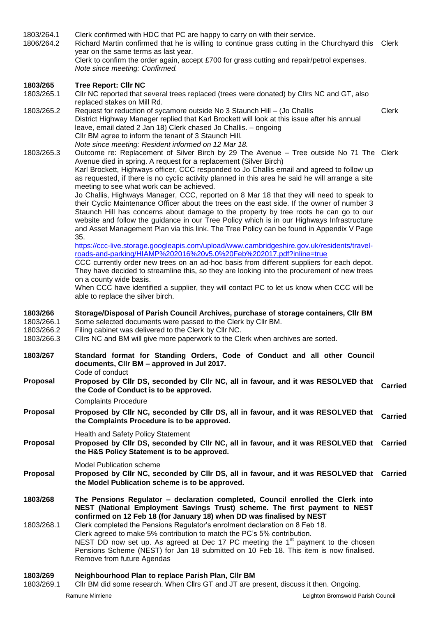| 1803/264.1<br>1806/264.2                           | Clerk confirmed with HDC that PC are happy to carry on with their service.<br>Richard Martin confirmed that he is willing to continue grass cutting in the Churchyard this Clerk<br>year on the same terms as last year.<br>Clerk to confirm the order again, accept £700 for grass cutting and repair/petrol expenses.                                                                                                                                                                                                                                                                                                                                                                                                                                                                                                                                                                                                                                                                                                                                                                                                                                          |                |
|----------------------------------------------------|------------------------------------------------------------------------------------------------------------------------------------------------------------------------------------------------------------------------------------------------------------------------------------------------------------------------------------------------------------------------------------------------------------------------------------------------------------------------------------------------------------------------------------------------------------------------------------------------------------------------------------------------------------------------------------------------------------------------------------------------------------------------------------------------------------------------------------------------------------------------------------------------------------------------------------------------------------------------------------------------------------------------------------------------------------------------------------------------------------------------------------------------------------------|----------------|
|                                                    | Note since meeting: Confirmed.                                                                                                                                                                                                                                                                                                                                                                                                                                                                                                                                                                                                                                                                                                                                                                                                                                                                                                                                                                                                                                                                                                                                   |                |
| 1803/265<br>1803/265.1                             | <b>Tree Report: Cllr NC</b><br>CIIr NC reported that several trees replaced (trees were donated) by CIIrs NC and GT, also                                                                                                                                                                                                                                                                                                                                                                                                                                                                                                                                                                                                                                                                                                                                                                                                                                                                                                                                                                                                                                        |                |
| 1803/265.2                                         | replaced stakes on Mill Rd.<br>Request for reduction of sycamore outside No 3 Staunch Hill - (Jo Challis<br>District Highway Manager replied that Karl Brockett will look at this issue after his annual<br>leave, email dated 2 Jan 18) Clerk chased Jo Challis. - ongoing<br>Cllr BM agree to inform the tenant of 3 Staunch Hill.<br>Note since meeting: Resident informed on 12 Mar 18.                                                                                                                                                                                                                                                                                                                                                                                                                                                                                                                                                                                                                                                                                                                                                                      | <b>Clerk</b>   |
| 1803/265.3                                         | Outcome re: Replacement of Silver Birch by 29 The Avenue - Tree outside No 71 The Clerk<br>Avenue died in spring. A request for a replacement (Silver Birch)<br>Karl Brockett, Highways officer, CCC responded to Jo Challis email and agreed to follow up<br>as requested, if there is no cyclic activity planned in this area he said he will arrange a site<br>meeting to see what work can be achieved.<br>Jo Challis, Highways Manager, CCC, reported on 8 Mar 18 that they will need to speak to<br>their Cyclic Maintenance Officer about the trees on the east side. If the owner of number 3<br>Staunch Hill has concerns about damage to the property by tree roots he can go to our<br>website and follow the guidance in our Tree Policy which is in our Highways Infrastructure<br>and Asset Management Plan via this link. The Tree Policy can be found in Appendix V Page<br>35.<br>https://ccc-live.storage.googleapis.com/upload/www.cambridgeshire.gov.uk/residents/travel-<br>roads-and-parking/HIAMP%202016%20v5.0%20Feb%202017.pdf?inline=true<br>CCC currently order new trees on an ad-hoc basis from different suppliers for each depot. |                |
|                                                    | They have decided to streamline this, so they are looking into the procurement of new trees<br>on a county wide basis.<br>When CCC have identified a supplier, they will contact PC to let us know when CCC will be<br>able to replace the silver birch.                                                                                                                                                                                                                                                                                                                                                                                                                                                                                                                                                                                                                                                                                                                                                                                                                                                                                                         |                |
|                                                    |                                                                                                                                                                                                                                                                                                                                                                                                                                                                                                                                                                                                                                                                                                                                                                                                                                                                                                                                                                                                                                                                                                                                                                  |                |
| 1803/266<br>1803/266.1<br>1803/266.2<br>1803/266.3 | Storage/Disposal of Parish Council Archives, purchase of storage containers, Cllr BM<br>Some selected documents were passed to the Clerk by Cllr BM.<br>Filing cabinet was delivered to the Clerk by Cllr NC.<br>Cllrs NC and BM will give more paperwork to the Clerk when archives are sorted.                                                                                                                                                                                                                                                                                                                                                                                                                                                                                                                                                                                                                                                                                                                                                                                                                                                                 |                |
| 1803/267                                           | Standard format for Standing Orders, Code of Conduct and all other Council<br>documents, CIIr BM - approved in Jul 2017.                                                                                                                                                                                                                                                                                                                                                                                                                                                                                                                                                                                                                                                                                                                                                                                                                                                                                                                                                                                                                                         |                |
| Proposal                                           | Code of conduct<br>Proposed by Cllr DS, seconded by Cllr NC, all in favour, and it was RESOLVED that<br>the Code of Conduct is to be approved.<br><b>Complaints Procedure</b>                                                                                                                                                                                                                                                                                                                                                                                                                                                                                                                                                                                                                                                                                                                                                                                                                                                                                                                                                                                    | <b>Carried</b> |
| Proposal                                           | Proposed by Cllr NC, seconded by Cllr DS, all in favour, and it was RESOLVED that<br>the Complaints Procedure is to be approved.                                                                                                                                                                                                                                                                                                                                                                                                                                                                                                                                                                                                                                                                                                                                                                                                                                                                                                                                                                                                                                 | <b>Carried</b> |
| Proposal                                           | <b>Health and Safety Policy Statement</b><br>Proposed by Cllr DS, seconded by Cllr NC, all in favour, and it was RESOLVED that Carried<br>the H&S Policy Statement is to be approved.                                                                                                                                                                                                                                                                                                                                                                                                                                                                                                                                                                                                                                                                                                                                                                                                                                                                                                                                                                            |                |
| <b>Proposal</b>                                    | <b>Model Publication scheme</b><br>Proposed by Cllr NC, seconded by Cllr DS, all in favour, and it was RESOLVED that Carried<br>the Model Publication scheme is to be approved.                                                                                                                                                                                                                                                                                                                                                                                                                                                                                                                                                                                                                                                                                                                                                                                                                                                                                                                                                                                  |                |
| 1803/268<br>1803/268.1                             | The Pensions Regulator - declaration completed, Council enrolled the Clerk into<br>NEST (National Employment Savings Trust) scheme. The first payment to NEST<br>confirmed on 12 Feb 18 (for January 18) when DD was finalised by NEST<br>Clerk completed the Pensions Regulator's enrolment declaration on 8 Feb 18.<br>Clerk agreed to make 5% contribution to match the PC's 5% contribution.<br>NEST DD now set up. As agreed at Dec 17 PC meeting the $1st$ payment to the chosen<br>Pensions Scheme (NEST) for Jan 18 submitted on 10 Feb 18. This item is now finalised.<br>Remove from future Agendas                                                                                                                                                                                                                                                                                                                                                                                                                                                                                                                                                    |                |

1803/269.1 Cllr BM did some research. When Cllrs GT and JT are present, discuss it then. Ongoing.